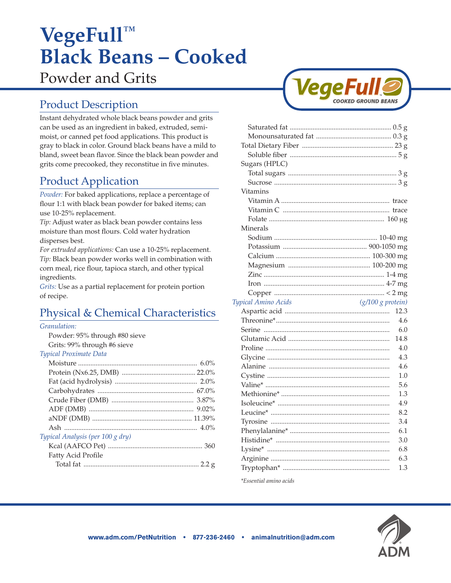# **VegeFull™ Black Beans – Cooked**  Powder and Grits

# Product Description

Instant dehydrated whole black beans powder and grits can be used as an ingredient in baked, extruded, semimoist, or canned pet food applications. This product is gray to black in color. Ground black beans have a mild to bland, sweet bean flavor. Since the black bean powder and grits come precooked, they reconstitue in five minutes.

# Product Application

*Powder:* For baked applications, replace a percentage of flour 1:1 with black bean powder for baked items; can use 10-25% replacement.

*Tip:* Adjust water as black bean powder contains less moisture than most flours. Cold water hydration disperses best.

*For extruded applications:* Can use a 10-25% replacement. *Tip:* Black bean powder works well in combination with corn meal, rice flour, tapioca starch, and other typical ingredients.

*Grits:* Use as a partial replacement for protein portion of recipe.

# Physical & Chemical Characteristics

#### *Granulation:*

Powder: 95% through #80 sieve Grits: 99% through #6 sieve

#### *Typical Proximate Data*

| Typical Analysis (per 100 g dry) |  |
|----------------------------------|--|
|                                  |  |
| Fatty Acid Profile               |  |
|                                  |  |
|                                  |  |



| Sugars (HPLC)                                           |            |
|---------------------------------------------------------|------------|
|                                                         |            |
|                                                         |            |
| Vitamins                                                |            |
|                                                         |            |
|                                                         |            |
|                                                         |            |
| Minerals                                                |            |
|                                                         |            |
|                                                         |            |
|                                                         |            |
|                                                         |            |
|                                                         |            |
|                                                         |            |
|                                                         |            |
| $\left(\frac{g}{100} g$ protein)<br>Typical Amino Acids |            |
|                                                         |            |
|                                                         | 12.3       |
|                                                         | 4.6        |
|                                                         | 6.0        |
|                                                         | 14.8       |
|                                                         | 4.0        |
|                                                         | 4.3        |
|                                                         | 4.6        |
|                                                         | 1.0        |
|                                                         | 5.6        |
|                                                         | 1.3        |
|                                                         | 4.9        |
|                                                         | 8.2        |
|                                                         | 3.4        |
|                                                         | 6.1        |
|                                                         | 3.0        |
|                                                         | 6.8        |
|                                                         | 6.3<br>1.3 |

*\*Essential amino acids*